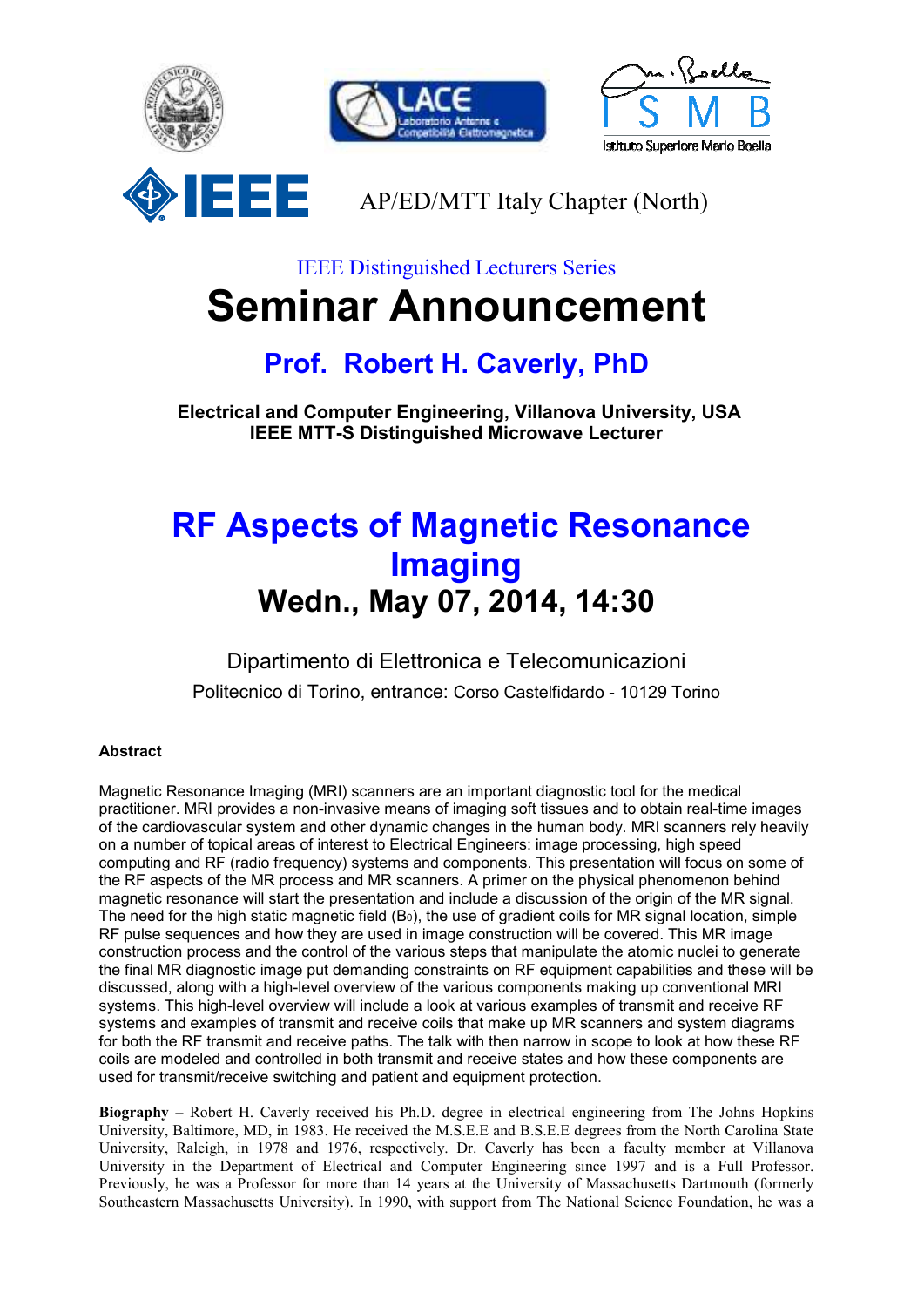

IEEE Distinguished Lecturers Series

## **Seminar Announcement**

## **Prof. Robert H. Caverly, PhD**

 **Electrical and Computer Engineering, Villanova University, USA IEEE MTT-S Distinguished Microwave Lecturer** 

## **RF Aspects of Magnetic Resonance Imaging Wedn., May 07, 2014, 14:30**

Dipartimento di Elettronica e Telecomunicazioni Politecnico di Torino, entrance: Corso Castelfidardo - 10129 Torino

## **Abstract**

Magnetic Resonance Imaging (MRI) scanners are an important diagnostic tool for the medical practitioner. MRI provides a non-invasive means of imaging soft tissues and to obtain real-time images of the cardiovascular system and other dynamic changes in the human body. MRI scanners rely heavily on a number of topical areas of interest to Electrical Engineers: image processing, high speed computing and RF (radio frequency) systems and components. This presentation will focus on some of the RF aspects of the MR process and MR scanners. A primer on the physical phenomenon behind magnetic resonance will start the presentation and include a discussion of the origin of the MR signal. The need for the high static magnetic field (B0), the use of gradient coils for MR signal location, simple RF pulse sequences and how they are used in image construction will be covered. This MR image construction process and the control of the various steps that manipulate the atomic nuclei to generate the final MR diagnostic image put demanding constraints on RF equipment capabilities and these will be discussed, along with a high-level overview of the various components making up conventional MRI systems. This high-level overview will include a look at various examples of transmit and receive RF systems and examples of transmit and receive coils that make up MR scanners and system diagrams for both the RF transmit and receive paths. The talk with then narrow in scope to look at how these RF coils are modeled and controlled in both transmit and receive states and how these components are used for transmit/receive switching and patient and equipment protection.

**Biography** – Robert H. Caverly received his Ph.D. degree in electrical engineering from The Johns Hopkins University, Baltimore, MD, in 1983. He received the M.S.E.E and B.S.E.E degrees from the North Carolina State University, Raleigh, in 1978 and 1976, respectively. Dr. Caverly has been a faculty member at Villanova University in the Department of Electrical and Computer Engineering since 1997 and is a Full Professor. Previously, he was a Professor for more than 14 years at the University of Massachusetts Dartmouth (formerly Southeastern Massachusetts University). In 1990, with support from The National Science Foundation, he was a